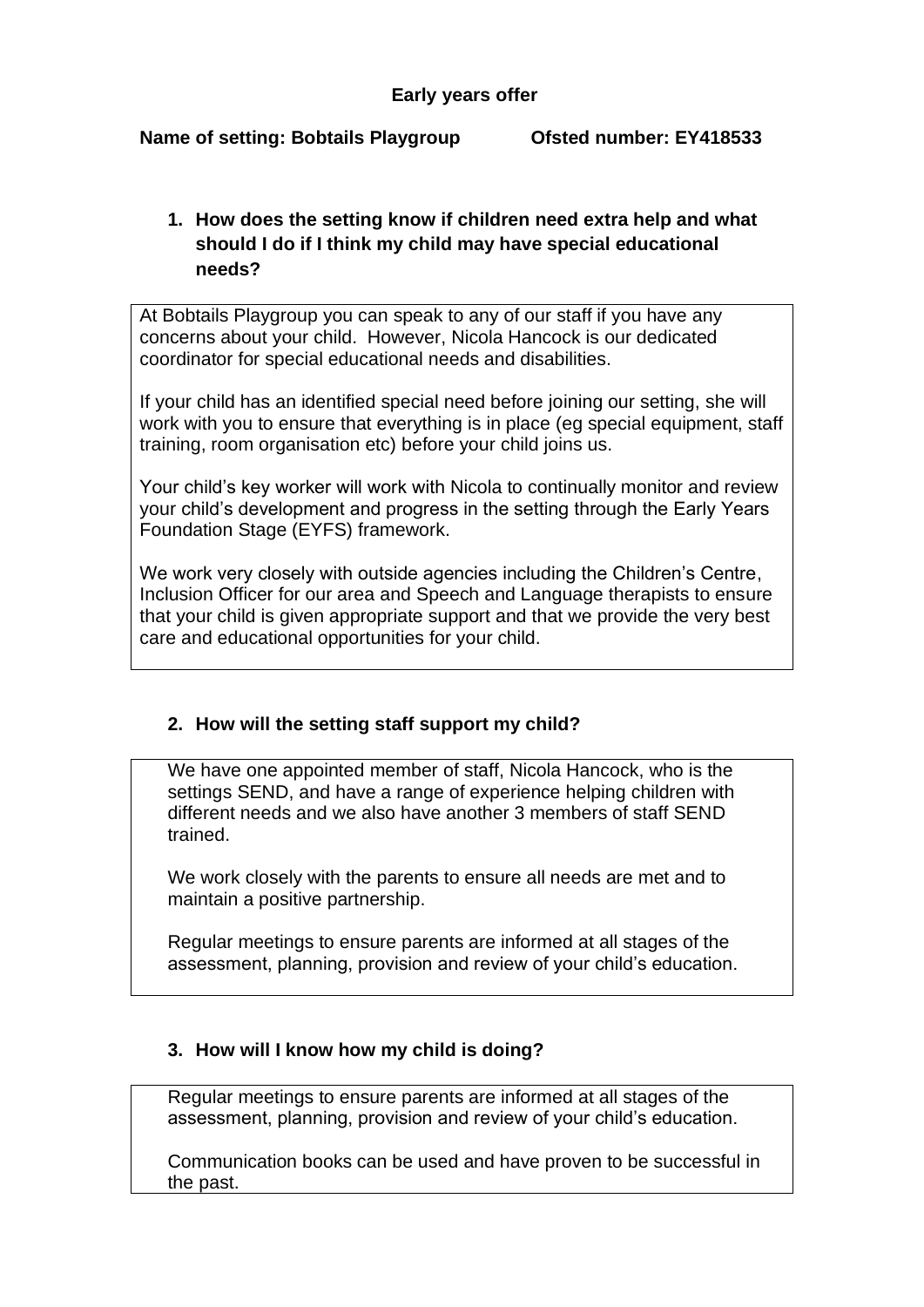#### **Name of setting: Bobtails Playgroup Ofsted number: EY418533**

# **1. How does the setting know if children need extra help and what should I do if I think my child may have special educational needs?**

At Bobtails Playgroup you can speak to any of our staff if you have any concerns about your child. However, Nicola Hancock is our dedicated coordinator for special educational needs and disabilities.

If your child has an identified special need before joining our setting, she will work with you to ensure that everything is in place (eg special equipment, staff training, room organisation etc) before your child joins us.

Your child's key worker will work with Nicola to continually monitor and review your child's development and progress in the setting through the Early Years Foundation Stage (EYFS) framework.

We work very closely with outside agencies including the Children's Centre, Inclusion Officer for our area and Speech and Language therapists to ensure that your child is given appropriate support and that we provide the very best care and educational opportunities for your child.

### **2. How will the setting staff support my child?**

We have one appointed member of staff, Nicola Hancock, who is the settings SEND, and have a range of experience helping children with different needs and we also have another 3 members of staff SEND trained.

We work closely with the parents to ensure all needs are met and to maintain a positive partnership.

Regular meetings to ensure parents are informed at all stages of the assessment, planning, provision and review of your child's education.

### **3. How will I know how my child is doing?**

Regular meetings to ensure parents are informed at all stages of the assessment, planning, provision and review of your child's education.

Communication books can be used and have proven to be successful in the past.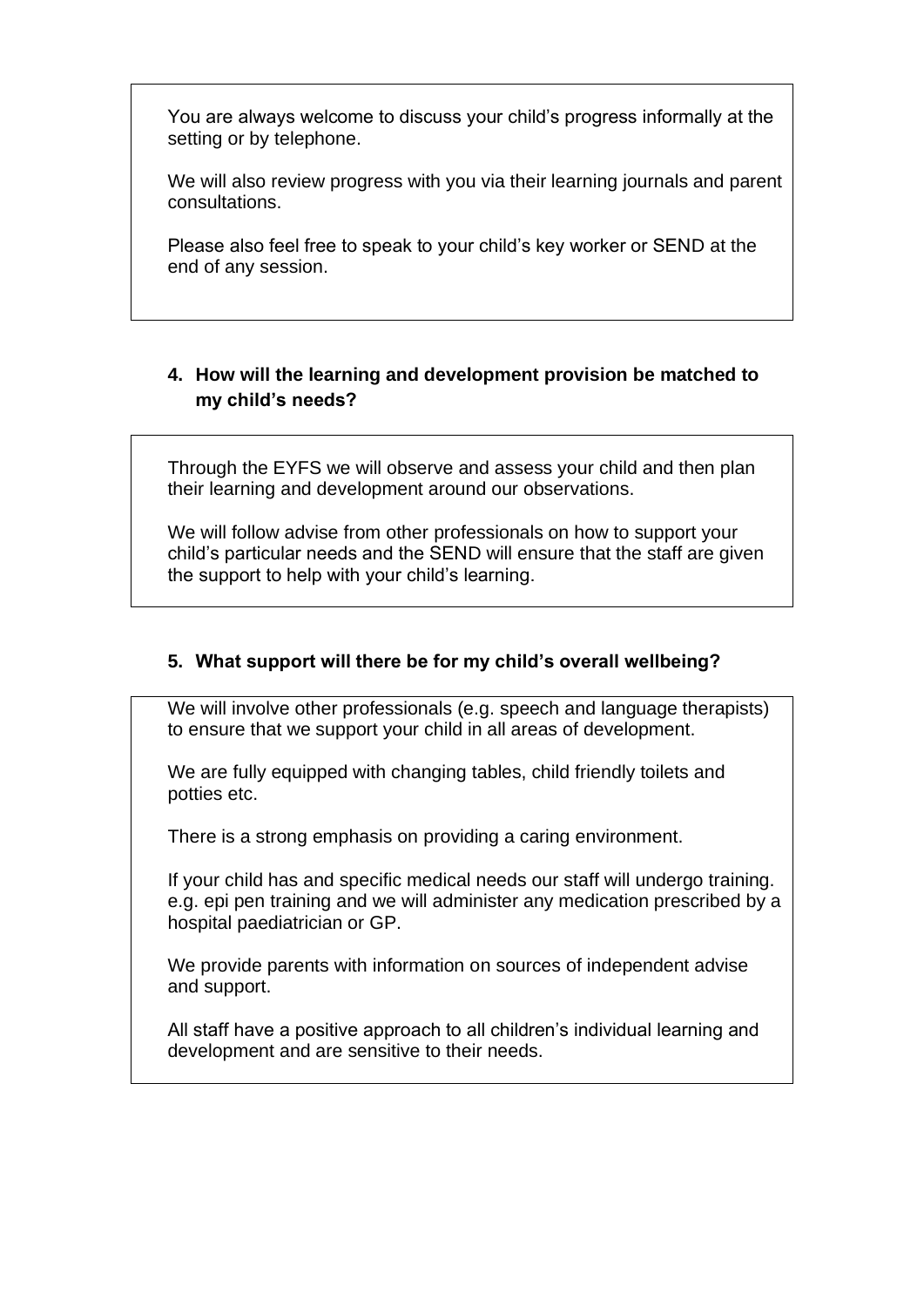You are always welcome to discuss your child's progress informally at the setting or by telephone.

We will also review progress with you via their learning journals and parent consultations.

Please also feel free to speak to your child's key worker or SEND at the end of any session.

## **4. How will the learning and development provision be matched to my child's needs?**

Through the EYFS we will observe and assess your child and then plan their learning and development around our observations.

We will follow advise from other professionals on how to support your child's particular needs and the SEND will ensure that the staff are given the support to help with your child's learning.

### **5. What support will there be for my child's overall wellbeing?**

We will involve other professionals (e.g. speech and language therapists) to ensure that we support your child in all areas of development.

We are fully equipped with changing tables, child friendly toilets and potties etc.

There is a strong emphasis on providing a caring environment.

If your child has and specific medical needs our staff will undergo training. e.g. epi pen training and we will administer any medication prescribed by a hospital paediatrician or GP.

We provide parents with information on sources of independent advise and support.

All staff have a positive approach to all children's individual learning and development and are sensitive to their needs.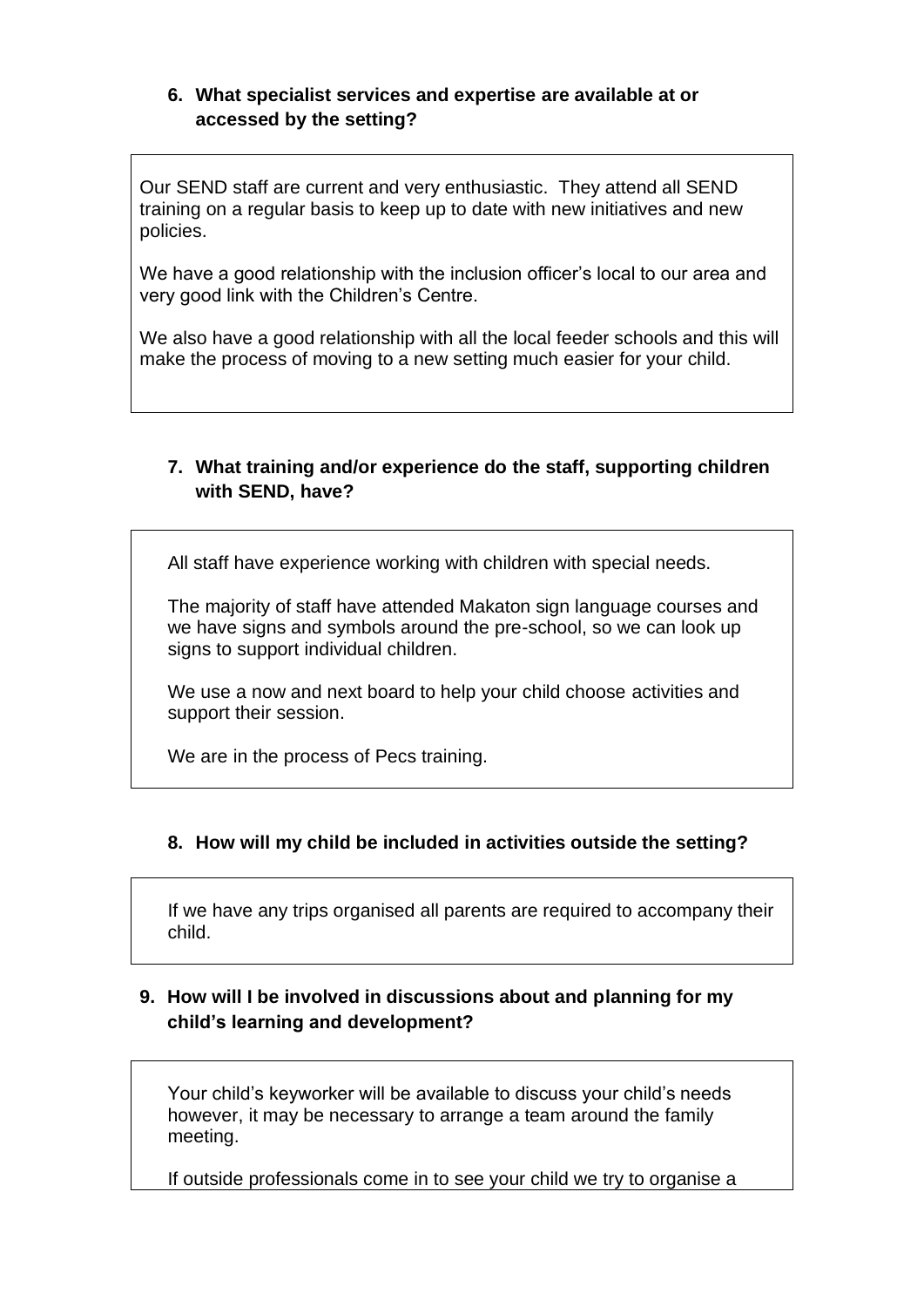### **6. What specialist services and expertise are available at or accessed by the setting?**

Our SEND staff are current and very enthusiastic. They attend all SEND training on a regular basis to keep up to date with new initiatives and new policies.

We have a good relationship with the inclusion officer's local to our area and very good link with the Children's Centre.

We also have a good relationship with all the local feeder schools and this will make the process of moving to a new setting much easier for your child.

### **7. What training and/or experience do the staff, supporting children with SEND, have?**

All staff have experience working with children with special needs.

The majority of staff have attended Makaton sign language courses and we have signs and symbols around the pre-school, so we can look up signs to support individual children.

We use a now and next board to help your child choose activities and support their session.

We are in the process of Pecs training.

# **8. How will my child be included in activities outside the setting?**

If we have any trips organised all parents are required to accompany their child.

### **9. How will I be involved in discussions about and planning for my child's learning and development?**

Your child's keyworker will be available to discuss your child's needs however, it may be necessary to arrange a team around the family meeting.

If outside professionals come in to see your child we try to organise a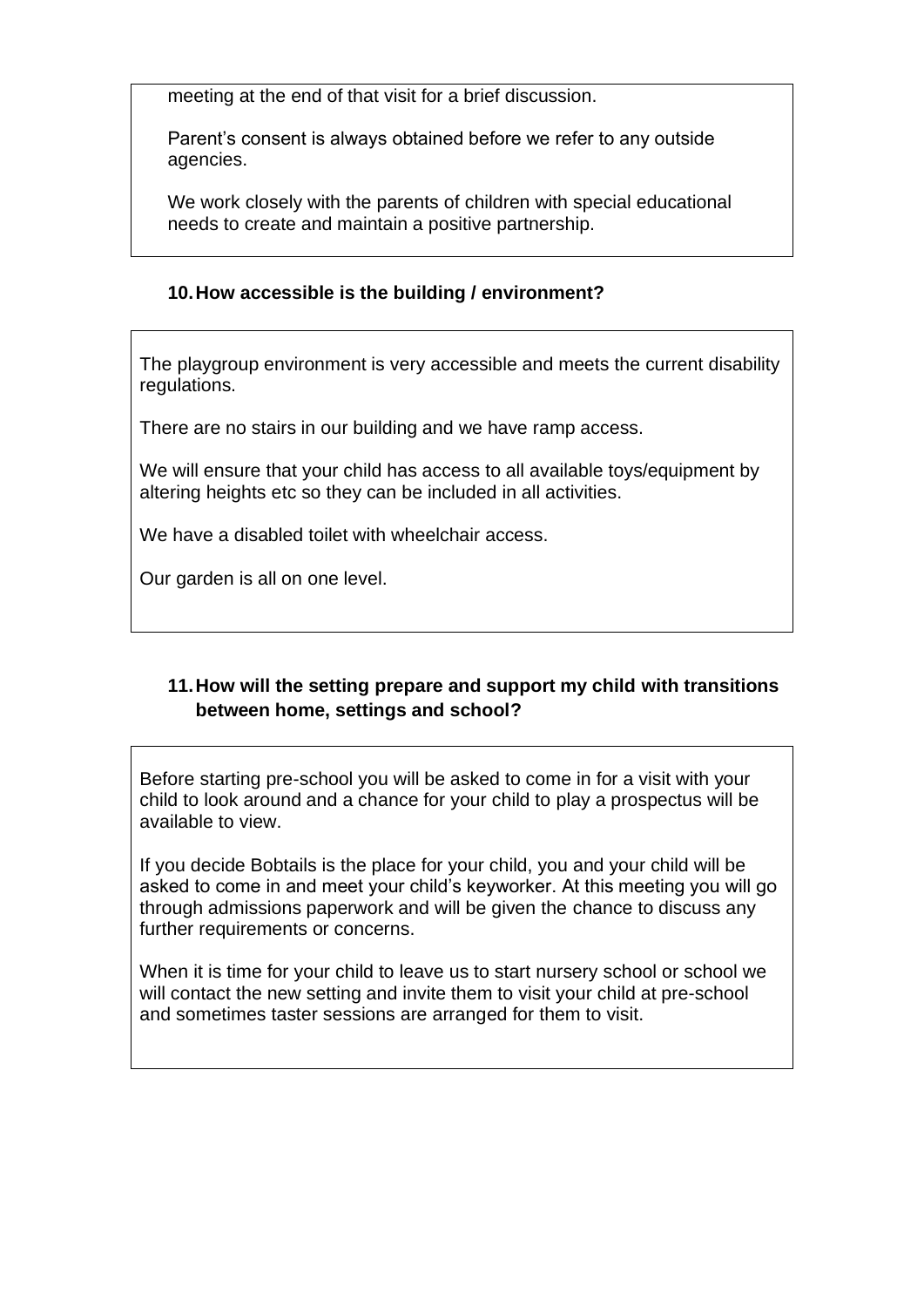meeting at the end of that visit for a brief discussion.

Parent's consent is always obtained before we refer to any outside agencies.

We work closely with the parents of children with special educational needs to create and maintain a positive partnership.

## **10.How accessible is the building / environment?**

The playgroup environment is very accessible and meets the current disability regulations.

There are no stairs in our building and we have ramp access.

We will ensure that your child has access to all available toys/equipment by altering heights etc so they can be included in all activities.

We have a disabled toilet with wheelchair access.

Our garden is all on one level.

### **11.How will the setting prepare and support my child with transitions between home, settings and school?**

Before starting pre-school you will be asked to come in for a visit with your child to look around and a chance for your child to play a prospectus will be available to view.

If you decide Bobtails is the place for your child, you and your child will be asked to come in and meet your child's keyworker. At this meeting you will go through admissions paperwork and will be given the chance to discuss any further requirements or concerns.

When it is time for your child to leave us to start nursery school or school we will contact the new setting and invite them to visit your child at pre-school and sometimes taster sessions are arranged for them to visit.